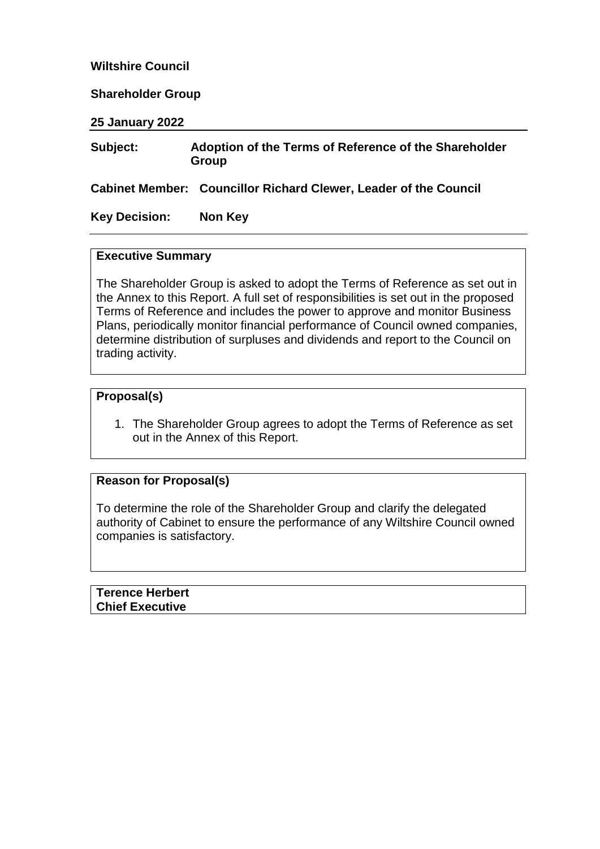# **Wiltshire Council**

#### **Shareholder Group**

**25 January 2022**

#### **Subject: Adoption of the Terms of Reference of the Shareholder Group**

**Cabinet Member: Councillor Richard Clewer, Leader of the Council**

## **Key Decision: Non Key**

#### **Executive Summary**

The Shareholder Group is asked to adopt the Terms of Reference as set out in the Annex to this Report. A full set of responsibilities is set out in the proposed Terms of Reference and includes the power to approve and monitor Business Plans, periodically monitor financial performance of Council owned companies, determine distribution of surpluses and dividends and report to the Council on trading activity.

#### **Proposal(s)**

1. The Shareholder Group agrees to adopt the Terms of Reference as set out in the Annex of this Report.

# **Reason for Proposal(s)**

To determine the role of the Shareholder Group and clarify the delegated authority of Cabinet to ensure the performance of any Wiltshire Council owned companies is satisfactory.

**Terence Herbert Chief Executive**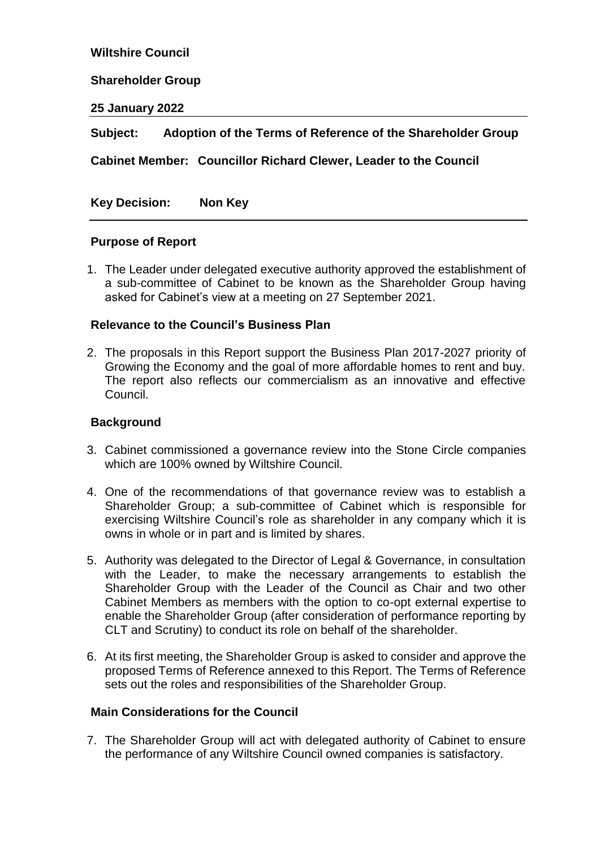**Wiltshire Council**

#### **Shareholder Group**

**25 January 2022**

**Subject: Adoption of the Terms of Reference of the Shareholder Group** 

**Cabinet Member: Councillor Richard Clewer, Leader to the Council**

**Key Decision: Non Key** 

## **Purpose of Report**

1. The Leader under delegated executive authority approved the establishment of a sub-committee of Cabinet to be known as the Shareholder Group having asked for Cabinet's view at a meeting on 27 September 2021.

#### **Relevance to the Council's Business Plan**

2. The proposals in this Report support the Business Plan 2017-2027 priority of Growing the Economy and the goal of more affordable homes to rent and buy. The report also reflects our commercialism as an innovative and effective Council.

## **Background**

- 3. Cabinet commissioned a governance review into the Stone Circle companies which are 100% owned by Wiltshire Council.
- 4. One of the recommendations of that governance review was to establish a Shareholder Group; a sub-committee of Cabinet which is responsible for exercising Wiltshire Council's role as shareholder in any company which it is owns in whole or in part and is limited by shares.
- 5. Authority was delegated to the Director of Legal & Governance, in consultation with the Leader, to make the necessary arrangements to establish the Shareholder Group with the Leader of the Council as Chair and two other Cabinet Members as members with the option to co-opt external expertise to enable the Shareholder Group (after consideration of performance reporting by CLT and Scrutiny) to conduct its role on behalf of the shareholder.
- 6. At its first meeting, the Shareholder Group is asked to consider and approve the proposed Terms of Reference annexed to this Report. The Terms of Reference sets out the roles and responsibilities of the Shareholder Group.

# **Main Considerations for the Council**

7. The Shareholder Group will act with delegated authority of Cabinet to ensure the performance of any Wiltshire Council owned companies is satisfactory.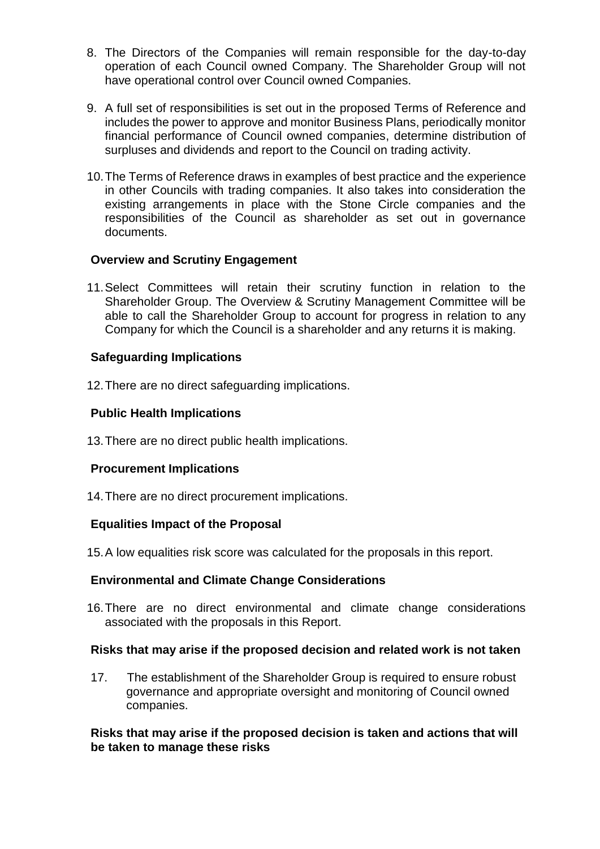- 8. The Directors of the Companies will remain responsible for the day-to-day operation of each Council owned Company. The Shareholder Group will not have operational control over Council owned Companies.
- 9. A full set of responsibilities is set out in the proposed Terms of Reference and includes the power to approve and monitor Business Plans, periodically monitor financial performance of Council owned companies, determine distribution of surpluses and dividends and report to the Council on trading activity.
- 10.The Terms of Reference draws in examples of best practice and the experience in other Councils with trading companies. It also takes into consideration the existing arrangements in place with the Stone Circle companies and the responsibilities of the Council as shareholder as set out in governance documents.

# **Overview and Scrutiny Engagement**

11.Select Committees will retain their scrutiny function in relation to the Shareholder Group. The Overview & Scrutiny Management Committee will be able to call the Shareholder Group to account for progress in relation to any Company for which the Council is a shareholder and any returns it is making.

## **Safeguarding Implications**

12.There are no direct safeguarding implications.

## **Public Health Implications**

13.There are no direct public health implications.

## **Procurement Implications**

14.There are no direct procurement implications.

## **Equalities Impact of the Proposal**

15.A low equalities risk score was calculated for the proposals in this report.

## **Environmental and Climate Change Considerations**

16.There are no direct environmental and climate change considerations associated with the proposals in this Report.

## **Risks that may arise if the proposed decision and related work is not taken**

17. The establishment of the Shareholder Group is required to ensure robust governance and appropriate oversight and monitoring of Council owned companies.

## **Risks that may arise if the proposed decision is taken and actions that will be taken to manage these risks**